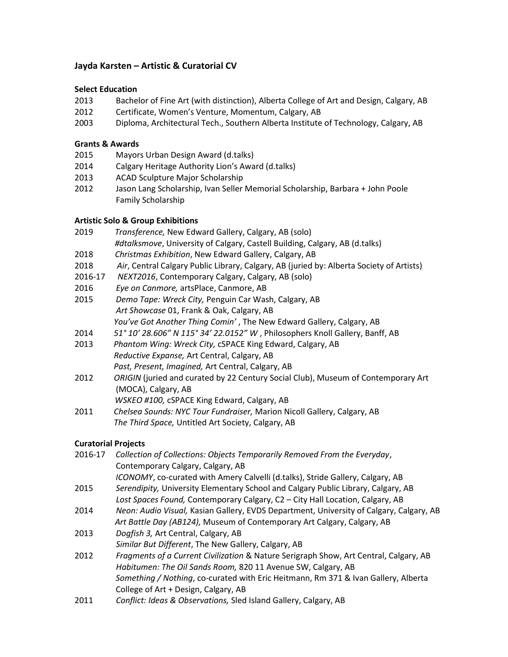# Jayda Karsten – Artistic & Curatorial CV

# Select Education

- 2013 Bachelor of Fine Art (with distinction), Alberta College of Art and Design, Calgary, AB
- 2012 Certificate, Women's Venture, Momentum, Calgary, AB
- 2003 Diploma, Architectural Tech., Southern Alberta Institute of Technology, Calgary, AB

# Grants & Awards

- 2015 Mayors Urban Design Award (d.talks)
- 2014 Calgary Heritage Authority Lion's Award (d.talks)
- 2013 ACAD Sculpture Major Scholarship
- 2012 Jason Lang Scholarship, Ivan Seller Memorial Scholarship, Barbara + John Poole Family Scholarship

# Artistic Solo & Group Exhibitions

- 2019 Transference, New Edward Gallery, Calgary, AB (solo) #dtalksmove, University of Calgary, Castell Building, Calgary, AB (d.talks)
- 2018 Christmas Exhibition, New Edward Gallery, Calgary, AB
- 2018 Air, Central Calgary Public Library, Calgary, AB (juried by: Alberta Society of Artists)
- 2016-17 NEXT2016, Contemporary Calgary, Calgary, AB (solo)
- 2016 Eye on Canmore, artsPlace, Canmore, AB
- 2015 Demo Tape: Wreck City, Penguin Car Wash, Calgary, AB Art Showcase 01, Frank & Oak, Calgary, AB You've Got Another Thing Comin', The New Edward Gallery, Calgary, AB
- 2014 51° 10' 28.606" N 115° 34' 22.0152" W, Philosophers Knoll Gallery, Banff, AB
- 2013 Phantom Wing: Wreck City, cSPACE King Edward, Calgary, AB Reductive Expanse, Art Central, Calgary, AB Past, Present, Imagined, Art Central, Calgary, AB
- 2012 ORIGIN (juried and curated by 22 Century Social Club), Museum of Contemporary Art (MOCA), Calgary, AB
	- WSKEO #100, cSPACE King Edward, Calgary, AB
- 2011 Chelsea Sounds: NYC Tour Fundraiser, Marion Nicoll Gallery, Calgary, AB The Third Space, Untitled Art Society, Calgary, AB

# Curatorial Projects

| 2016-17 | Collection of Collections: Objects Temporarily Removed From the Everyday,               |
|---------|-----------------------------------------------------------------------------------------|
|         | Contemporary Calgary, Calgary, AB                                                       |
|         | ICONOMY, co-curated with Amery Calvelli (d.talks), Stride Gallery, Calgary, AB          |
| 2015    | Serendipity, University Elementary School and Calgary Public Library, Calgary, AB       |
|         | Lost Spaces Found, Contemporary Calgary, C2 - City Hall Location, Calgary, AB           |
| 2014    | Neon: Audio Visual, Kasian Gallery, EVDS Department, University of Calgary, Calgary, AB |
|         | Art Battle Day (AB124), Museum of Contemporary Art Calgary, Calgary, AB                 |
| 2013    | Dogfish 3, Art Central, Calgary, AB                                                     |
|         | Similar But Different, The New Gallery, Calgary, AB                                     |
| 2012    | Fragments of a Current Civilization & Nature Serigraph Show, Art Central, Calgary, AB   |
|         | Habitumen: The Oil Sands Room, 820 11 Avenue SW, Calgary, AB                            |
|         | Something / Nothing, co-curated with Eric Heitmann, Rm 371 & Ivan Gallery, Alberta      |
|         | College of Art + Design, Calgary, AB                                                    |
|         |                                                                                         |

2011 Conflict: Ideas & Observations, Sled Island Gallery, Calgary, AB